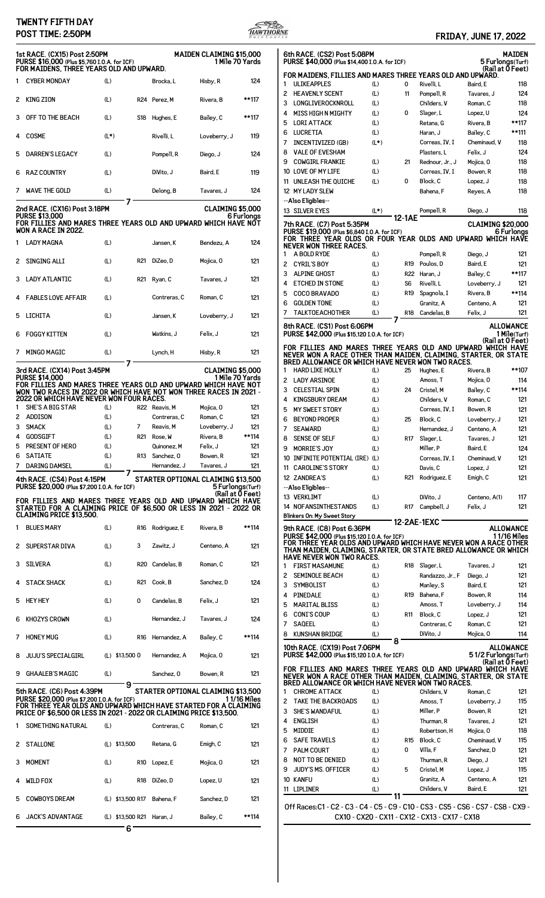## **TWENTY FIFTH DAY**



|   | POST TIME: 2:50PM                                                                                                                    |        |                            |                  |                                                        |             | <b>HAWTHORNE</b>                                                                                                                                                                      |                                         | <b>FRIDAY, JUNE 17, 2022</b>                                |
|---|--------------------------------------------------------------------------------------------------------------------------------------|--------|----------------------------|------------------|--------------------------------------------------------|-------------|---------------------------------------------------------------------------------------------------------------------------------------------------------------------------------------|-----------------------------------------|-------------------------------------------------------------|
|   | 1st RACE. (CX15) Post 2:50PM<br>PURSE \$16,000 (Plus \$5,760 I.O.A. for ICF)<br>FOR MAIDENS, THREE YEARS OLD AND UPWARD.             |        |                            |                  | <b>MAIDEN CLAIMING \$15,000</b><br>1 Mile 70 Yards     |             | 6th RACE. (CS2) Post 5:08PM<br>PURSE \$40,000 (Plus \$14,400 I.O.A. for ICF)                                                                                                          |                                         | MAIDEI<br>5 Furlongs (Turt<br>(Rail at <b>0</b> Feet        |
|   | 1 CYBER MONDAY                                                                                                                       | (L)    |                            | Brocka, L        | Hisby, R                                               | 124         | FOR MAIDENS, FILLIES AND MARES THREE YEARS OLD AND UPWARD.<br><b>ULIKEAPPLES</b><br>(L)<br>1                                                                                          | Rivelli, L<br>0                         | Baird, E<br>118                                             |
|   | 2 KING ZION                                                                                                                          | (L)    |                            | R24 Perez, M     | Rivera, B                                              | **117       | <b>HEAVENLY SCENT</b><br>(L)<br>LONGLIVEROCKNROLL<br>3<br>(L)                                                                                                                         | Pompell, R<br>11<br>Childers, V         | 12 <sub>0</sub><br>Tavares, J<br>118<br>Roman, C            |
|   | 3 OFF TO THE BEACH                                                                                                                   | (L)    |                            | S18 Hughes, E    | Bailey, C                                              | **117       | <b>MISS HIGH N MIGHTY</b><br>(L)<br>4<br><b>LORI ATTACK</b><br>5<br>(L)                                                                                                               | 0<br>Slager, L<br>Retana, G             | 12 <sub>0</sub><br>Lopez, U<br>**117<br>Rivera, B           |
|   | 4 COSME                                                                                                                              | $(L*)$ |                            | Rivelli, L       | Loveberry, J                                           | 119         | <b>LUCRETIA</b><br>(L)<br>6<br><b>INCENTIVIZED (GB)</b><br>$(L*)$<br>7                                                                                                                | Haran, J<br>Correas, IV, I              | **111<br>Bailey, C<br>Cheminaud, V<br>118                   |
| 5 | <b>DARREN'S LEGACY</b>                                                                                                               | (L)    |                            | Pompell, R       | Diego, J                                               | 124         | <b>VALE OF EVESHAM</b><br>8                                                                                                                                                           | Plasters, L                             | Felix, J<br>12 <sub>0</sub>                                 |
|   | 6 RAZ COUNTRY                                                                                                                        | (L)    |                            | DiVito, J        | Baird, E                                               | 119         | <b>COWGIRL FRANKIE</b><br>9<br>(L)<br>10 LOVE OF MY LIFE<br>(L)                                                                                                                       | 21<br>Rednour, Jr., J<br>Correas, IV, I | 118<br>Mojica, O<br>118<br>Bowen, R                         |
|   | 7 WAVE THE GOLD                                                                                                                      | (L)    |                            | Delong, B        | Tavares, J                                             | 124         | UNLEASH THE QUICHE<br>(L)<br>11<br>12 MY LADY SLEW                                                                                                                                    | Block, C<br>0<br>Bahena, F              | 118<br>Lopez, J<br>118<br>Reyes, A                          |
|   | 2nd RACE. (CX16) Post 3:18PM<br><b>PURSE \$13.000</b>                                                                                |        | 7                          |                  | CLAIMING \$5,000                                       | 6 Furlonas  | --Also Eligibles--<br><b>13 SILVER EYES</b><br>(L*)                                                                                                                                   | Pompell, R<br>12-1AE                    | 118<br>Diego, J                                             |
|   | FOR FILLIES AND MARES THREE YEARS OLD AND UPWARD WHICH HAVE NOT<br>WON A RACE IN 2022.                                               |        |                            |                  |                                                        |             | 7th RACE. (C7) Post 5:35PM<br>PURSE \$19,000 (Plus \$6,840 I.O.A. for ICF)                                                                                                            |                                         | <b>CLAIMING \$20,00</b><br>6 Furlong                        |
|   | 1 LADY MAGNA                                                                                                                         | (L)    |                            | Jansen, K        | Bendezu, A                                             | 124         | FOR THREE YEAR OLDS OR FOUR YEAR OLDS AND UPWARD WHICH HAVI<br><b>NEVER WON THREE RACES.</b>                                                                                          |                                         |                                                             |
|   | 2 SINGING ALLI                                                                                                                       | (L)    | R21                        | DiZeo, D         | Mojica, O                                              | 121         | A BOLD RYDE<br>(L)<br>1<br>2<br><b>CYRIL'S BOY</b><br>(L)                                                                                                                             | Pompell, R<br>Poulos. D<br>R19          | $12^{\circ}$<br>Diego, J<br>Baird, E<br>$12^{\circ}$        |
|   | 3 LADY ATLANTIC                                                                                                                      | (L)    |                            | R21 Ryan, C      | Tavares, J                                             | 121         | <b>ALPINE GHOST</b><br>3<br>(L)<br><b>ETCHED IN STONE</b><br>(L)<br>4                                                                                                                 | R22 Haran, J<br>Rivelli, L<br>S6        | **117<br>Bailey, C<br>$12^{\circ}$<br>Loveberry, J          |
|   | 4 FABLES LOVE AFFAIR                                                                                                                 | (L)    |                            | Contreras, C     | Roman, C                                               | 121         | 5<br><b>COCO BRAVADO</b><br>(L)<br><b>GOLDEN TONE</b><br>(L)<br>6                                                                                                                     | R19<br>Spagnola, I<br>Granitz, A        | **114<br>Rivera, B<br>Centeno, A<br>$12^{\circ}$            |
|   | 5 LICHITA                                                                                                                            | (L)    |                            | Jansen, K        | Loveberry, J                                           | 121         | <b>TALKTOEACHOTHER</b><br>7<br>(L)                                                                                                                                                    | R18 Candelas, B                         | $12^{\circ}$<br>Felix, J                                    |
|   | 6 FOGGY KITTEN                                                                                                                       | (L)    |                            | Watkins, J       | Felix, J                                               | 121         | 8th RACE. (CS1) Post 6:06PM<br>PURSE \$42,000 (Plus \$15,120 I.O.A. for ICF)                                                                                                          |                                         | <b>ALLOWANCI</b><br>1 Mile(Turt<br>(Rail at 0 Feet          |
|   | 7 MINGO MAGIC                                                                                                                        | (L)    |                            | Lynch, H         | Hisby, R                                               | 121         | FOR FILLIES AND MARES THREE YEARS OLD AND UPWARD WHICH HAVI<br>NEVER WON A RACE OTHER THAN MAIDEN, CLAIMING, STARTER, OR STATI                                                        |                                         |                                                             |
|   | 3rd RACE. (CX14) Post 3:45PM<br><b>PURSE \$14,000</b>                                                                                |        | 7                          |                  | <b>CLAIMING \$5,000</b><br>1 Mile 70 Yards             |             | BRED ALLOWANCE OR WHICH HAVE NEVER WON TWO RACES.<br><b>HARD LIKE HOLLY</b><br>$\mathbf{1}$<br>(L)                                                                                    | 25<br>Hughes, E                         | **10<br>Rivera, B                                           |
|   | FOR FILLIES AND MARES THREE YEARS OLD AND UPWARD WHICH HAVE NOT<br>WON TWO RACES IN 2022 OR WHICH HAVE NOT WON THREE RACES IN 2021 - |        |                            |                  |                                                        |             | <b>LADY ARSINOE</b><br>2<br>(L)<br>3<br><b>CELESTIAL SPIN</b><br>(L)                                                                                                                  | Amoss, T<br>Cristel.M<br>24             | Mojica, O<br>11 <sup>2</sup><br>Bailey, C<br>**114          |
|   | <b>2022 OR WHICH HAVE NEVER WON FOUR RACES.</b>                                                                                      |        |                            |                  |                                                        |             | <b>KINGSBURY DREAM</b><br>(L)<br>4                                                                                                                                                    | Childers, V                             | Roman, C<br>$12^{\circ}$                                    |
|   | SHE'S A BIG STAR                                                                                                                     | (L)    |                            | R22 Reavis, M    | Moiica, 0                                              | 121         | MY SWEET STORY<br>(L)<br>5                                                                                                                                                            | Correas, IV, I                          | $12^{\circ}$<br>Bowen, R                                    |
|   | 2 ADDISON                                                                                                                            | (L)    |                            | Contreras, C     | Roman, C                                               | 121         | <b>BEYOND PROPER</b><br>(L)<br>6                                                                                                                                                      | Block, C<br>25                          | $12^{\circ}$<br>Loveberry, J                                |
|   | 3 SMACK                                                                                                                              | (L)    |                            | 7 Reavis, M      | Loveberry, J                                           | 121         | (L)<br><b>SEAWARD</b>                                                                                                                                                                 | Hernandez, J                            | 12<br>Centeno, A                                            |
| 4 | GODSGIFT                                                                                                                             | (L)    |                            | R21 Rose, W      | Rivera, B                                              | **114       | <b>SENSE OF SELF</b><br>(L)<br>8                                                                                                                                                      | R17 Slager, L                           | $12^{\circ}$<br>Tavares, J                                  |
|   | 5 PRESENT OF HERO                                                                                                                    | (L)    |                            | Quinonez, M      | Felix, J                                               | 121         | <b>MORRIE'S JOY</b><br>(L)<br>9                                                                                                                                                       | Miller, P                               | Baird, E<br>12 <sub>0</sub>                                 |
|   | 6 SATIATE                                                                                                                            | (L)    |                            | R13 Sanchez, 0   | Bowen, R                                               | 121         |                                                                                                                                                                                       |                                         | Cheminaud, V                                                |
|   | DARING DAMSEL                                                                                                                        | (L)    |                            | Hernandez, J     | Tavares, J                                             | 121         | 10 INFINITE POTENTIAL (IRE) (L)                                                                                                                                                       | Correas, IV, I                          | $12^{\circ}$                                                |
|   | 4th RACE. (CS4) Post 4:15PM<br>PURSE \$20,000 (Plus \$7,200 I.O.A. for ICF)                                                          |        |                            |                  | STARTER OPTIONAL CLAIMING \$13.500<br>5 Furlongs(Turf) |             | 11 CAROLINE'S STORY<br>(L)<br>12 ZANDREA'S<br>(L)<br>--Also Eligibles--                                                                                                               | Davis, C<br>R21 Rodriguez, E            | $12^{\circ}$<br>Lopez, J<br>$12^{\circ}$<br>Emigh, C        |
|   | FOR FILLIES AND MARES THREE YEARS OLD AND UPWARD WHICH HAVE                                                                          |        |                            |                  | (Rail at $\bar{0}$ Feet)                               |             | 13 VERKLIMT<br>(L)                                                                                                                                                                    | DiVito, J                               | 117<br>Centeno, A(1)                                        |
|   | STARTED FOR A CLAIMING PRICE OF \$6,500 OR LESS IN 2021 - 2022 OR                                                                    |        |                            |                  |                                                        |             | <b>14 NOFANSINTHESTANDS</b><br>(L)                                                                                                                                                    | R17 Campbell, J                         | Felix, J<br>$12^{\circ}$                                    |
|   | <b>CLAIMING PRICE \$13,500.</b>                                                                                                      |        |                            |                  |                                                        |             | Blinkers On: My Sweet Story                                                                                                                                                           |                                         |                                                             |
|   | 1 BLUES MARY                                                                                                                         | (L)    |                            | R16 Rodriguez, E | Rivera, B                                              | **114       | 9th RACE. (C8) Post 6:36PM                                                                                                                                                            | 12-2AE-1EXC                             | <b>ALLOWANCI</b>                                            |
|   | 2 SUPERSTAR DIVA                                                                                                                     | (L)    | 3                          | Zawitz, J        | Centeno, A                                             | 121         | PURSE \$42,000 (Plus \$15,120 I.O.A. for ICF)<br>FOR THREE YEAR OLDS AND UPWARD WHICH HAVE NEVER WON A RACE OTHEI<br>THAN MAIDEN, CLAIMING, STARTER, OR STATE BRED ALLOWANCE OR WHICI |                                         | 11/16 Mile                                                  |
|   | 3 SILVERA                                                                                                                            | (L)    |                            | R20 Candelas, B  | Roman, C                                               | 121         | <b>HAVE NEVER WON TWO RACES.</b><br><b>FIRST MASAMUNE</b><br>1<br>(L)                                                                                                                 | R18 Slager, L                           | $12^{\circ}$<br>Tavares, J                                  |
|   | 4 STACK SHACK                                                                                                                        | (L)    |                            | R21 Cook, B      | Sanchez, D                                             | 124         | <b>SEMINOLE BEACH</b><br>(L)<br>SYMBOLIST<br>(L)<br>3                                                                                                                                 | Randazzo, Jr., F<br>Manley, S           | $12^{\circ}$<br>Diego, J<br>$12^{\circ}$<br>Baird, E        |
|   | 5 HEYHEY                                                                                                                             | (L)    | 0                          | Candelas, B      | Felix, J                                               | 121         | PINEDALE<br>(L)<br>4                                                                                                                                                                  | R19 Bahena, F                           | 11 <sup>2</sup><br>Bowen, R                                 |
|   | 6 KHOZYS CROWN                                                                                                                       | (L)    |                            | Hernandez, J     | Tavares, J                                             | 124         | <b>MARITAL BLISS</b><br>(L)<br>5<br><b>CONI'S COUP</b><br>(L)<br>6                                                                                                                    | Amoss, T<br>R11 Block, C                | Loveberry, J<br>11 <sup>2</sup><br>$12^{\circ}$<br>Lopez, J |
|   | 7 HONEY MUG                                                                                                                          | (L)    |                            | R16 Hernandez, A | Bailey, C                                              | **114       | <b>SAQEEL</b><br>7<br>(L)<br><b>KUNSHAN BRIDGE</b><br>(L)<br>8                                                                                                                        | Contreras, C<br>DiVito, J               | $12^{\circ}$<br>Roman, C<br>11 <sup>2</sup><br>Mojica, O    |
|   | 8 JUJU'S SPECIALGIRL                                                                                                                 |        | $(L)$ \$13,500 0           | Hernandez, A     | Mojica, 0                                              | 121         | 8<br>10th RACE. (CX19) Post 7:06PM<br>PURSE \$42,000 (Plus \$15,120 I.O.A. for ICF)                                                                                                   |                                         | <b>ALLOWANCI</b><br>51/2 Furlongs(Turf                      |
|   | 9 GHAALEB'S MAGIC                                                                                                                    | (L)    |                            | Sanchez, 0       | Bowen, R                                               | 121         | FOR FILLIES AND MARES THREE YEARS OLD AND UPWARD WHICH HAVI                                                                                                                           |                                         | (Rail at 0 Feet                                             |
|   | 5th RACE. (C6) Post 4:39PM                                                                                                           |        | 9                          |                  | STARTER OPTIONAL CLAIMING \$13,500                     |             | NEVER WON A RACE OTHER THAN MAIDEN, CLAIMING, STARTER, OR STATI<br>BRED ALLOWANCE OR WHICH HAVE NEVER WON TWO RACES.<br><b>CHROME ATTACK</b><br>(L)<br>1                              | Childers, V                             | $12^{\circ}$<br>Roman, C                                    |
|   | PURSE \$20,000 (Plus \$7,200 I.O.A. for ICF)                                                                                         |        |                            |                  |                                                        | 11/16 Miles | <b>TAKE THE BACKROADS</b><br>2<br>(L)                                                                                                                                                 | Amoss, T                                | 115<br>Loveberry, J                                         |
|   | FOR THREE YEAR OLDS AND UPWARD WHICH HAVE STARTED FOR A CLAIMING                                                                     |        |                            |                  |                                                        |             | <b>SHE'S WANDAFUL</b><br>3                                                                                                                                                            |                                         | 12'                                                         |
|   | PRICE OF \$6,500 OR LESS IN 2021 - 2022 OR CLAIMING PRICE \$13,500.                                                                  |        |                            |                  |                                                        |             | (L)                                                                                                                                                                                   | Miller, P                               | Bowen, R<br>12'                                             |
|   | 1 SOMETHING NATURAL                                                                                                                  | (L)    |                            | Contreras, C     | Roman, C                                               | 121         | <b>ENGLISH</b><br>(L)<br>4                                                                                                                                                            | Thurman, R                              | Tavares, J                                                  |
|   |                                                                                                                                      |        |                            |                  |                                                        |             | MIDDIE<br>5<br>(L)                                                                                                                                                                    | Robertson, H                            | Mojica, O<br>118                                            |
|   | 2 STALLONE                                                                                                                           |        | (L) \$13,500               | Retana, G        | Emigh, C                                               | 121         | <b>SAFE TRAVELS</b><br>(L)<br>6<br><b>PALM COURT</b>                                                                                                                                  | R15 Block, C<br>Villa, F<br>0           | 115<br>Cheminaud, V                                         |
|   |                                                                                                                                      |        |                            |                  |                                                        |             | 7<br>(L)                                                                                                                                                                              |                                         | $12^{\circ}$<br>Sanchez, D<br>$12^{\circ}$                  |
|   | 3 MOMENT                                                                                                                             | (L)    |                            | R10 Lopez, E     | Mojica, 0                                              | 121         | NOT TO BE DENIED<br>(L)<br>8                                                                                                                                                          | Thurman, R                              | Diego, J                                                    |
|   |                                                                                                                                      |        |                            |                  |                                                        |             | <b>JUDY'S MS. OFFICER</b><br>9<br>(L)<br>10 KANFU<br>(L)                                                                                                                              | 5<br>Cristel. M<br>Granitz, A           | 115<br>Lopez, J<br>$12^{\circ}$<br>Centeno, A               |
|   | 4 WILD FOX                                                                                                                           | (L)    |                            | R18 DiZeo, D     | Lopez, U                                               | 121         | 11 LIPLINER<br>(L)<br>11                                                                                                                                                              | Childers, V                             | Baird, E<br>$12^{\circ}$                                    |
|   | 5 COWBOYS DREAM                                                                                                                      |        | (L) \$13,500 R17 Bahena, F |                  | Sanchez, D                                             | 121         | Off Races: C1 - C2 - C3 - C4 - C5 - C9 - C10 - CS3 - CS5 - CS6 - CS7 - CS8 - CX9                                                                                                      |                                         |                                                             |
|   | 6 JACK'S ADVANTAGE                                                                                                                   |        | (L) \$13,500 R21 Haran, J  |                  | Bailey, C                                              | **114       | CX10 - CX20 - CX11 - CX12 - CX13 - CX17 - CX18                                                                                                                                        |                                         |                                                             |

|                                                | 6th RACE. (CS2) Post 5:08PM<br>PURSE \$40,000 (Plus \$14,400 I.O.A. for ICF)                                                         |               |            |                            | 5 Furlongs(Turf)          | MAIDEN       |  |  |  |
|------------------------------------------------|--------------------------------------------------------------------------------------------------------------------------------------|---------------|------------|----------------------------|---------------------------|--------------|--|--|--|
|                                                | FOR MAIDENS. FILLIES AND MARES THREE YEARS OLD AND UPWARD.                                                                           |               |            |                            | (Rail at 0 Feet)          |              |  |  |  |
| 1                                              | <b>ULIKEAPPLES</b>                                                                                                                   | (L)           | 0          | Rivelli, L                 | Baird, E                  | 118          |  |  |  |
| 2                                              | <b>HEAVENLY SCENT</b>                                                                                                                | (L)           | 11         | Pompell, R                 | Tavares, J                | 124          |  |  |  |
| з                                              | LONGLIVEROCKNROLL                                                                                                                    | (L)           |            | Childers, V                | Roman, C                  | 118          |  |  |  |
| 4                                              | <b>MISS HIGH N MIGHTY</b>                                                                                                            | (L)           | 0          | Slager, L                  | Lopez, U                  | 124          |  |  |  |
| 5                                              | <b>LORI ATTACK</b>                                                                                                                   | (L)           |            | Retana, G                  | Rivera, B                 | **117        |  |  |  |
| 6<br>7                                         | LUCRETIA<br>INCENTIVIZED (GB)                                                                                                        | (L)<br>$(L*)$ |            | Haran, J<br>Correas, IV, I | Bailey, C<br>Cheminaud, V | **111<br>118 |  |  |  |
| 8                                              | <b>VALE OF EVESHAM</b>                                                                                                               |               |            | Plasters, L                | Felix, J                  | 124          |  |  |  |
| 9                                              | <b>COWGIRL FRANKIE</b>                                                                                                               | (L)           | 21         | Rednour, Jr., J            | Mojica, 0                 | 118          |  |  |  |
|                                                | 10 LOVE OF MY LIFE                                                                                                                   | (L)           |            | Correas, IV, I             | Bowen, R                  | 118          |  |  |  |
|                                                | 11 UNLEASH THE QUICHE                                                                                                                | (L)           | 0          | Block, C                   | Lopez, J                  | 118          |  |  |  |
|                                                | 12 MY LADY SLEW                                                                                                                      |               |            | Bahena, F                  | Reyes, A                  | 118          |  |  |  |
|                                                | --Also Eligibles--                                                                                                                   |               |            |                            |                           |              |  |  |  |
|                                                | 13 SILVER EYES                                                                                                                       | (L*)          | 12-1AE     | Pompell, R                 | Diego, J                  | 118          |  |  |  |
|                                                | <b>CLAIMING \$20,000</b><br>7th RACE. (C7) Post 5:35PM<br>PURSE \$19,000 (Plus \$6.840 I.O.A. for ICF)<br>6 Furlonas                 |               |            |                            |                           |              |  |  |  |
|                                                | FOR THREE YEAR OLDS OR FOUR YEAR OLDS AND UPWARD WHICH HAVE<br>NEVER WON THREE RACES.                                                |               |            |                            |                           |              |  |  |  |
| 1                                              | A BOLD RYDE                                                                                                                          | (L)           |            | Pompell, R                 | Diego, J                  | 121          |  |  |  |
| 2                                              | <b>CYRIL'S BOY</b>                                                                                                                   | (L)           | R19        | Poulos, D                  | Baird. E                  | 121          |  |  |  |
| 3                                              | <b>ALPINE GHOST</b>                                                                                                                  | (L)           | <b>R22</b> | Haran, J                   | Bailey, C                 | **117        |  |  |  |
| 4                                              | <b>ETCHED IN STONE</b>                                                                                                               | (L)           | S6         | Rivelli, L                 | Loveberry, J              | 121          |  |  |  |
| 5                                              | <b>COCO BRAVADO</b>                                                                                                                  | (L)           | R19        | Spagnola, I                | Rivera, B                 | **114        |  |  |  |
| 6                                              | <b>GOLDEN TONE</b>                                                                                                                   | (L)           |            | Granitz, A                 | Centeno, A                | 121          |  |  |  |
| 7                                              | <b>TALKTOEACHOTHER</b>                                                                                                               | (L)           | R18        | Candelas, B                | Felix, J                  | 121          |  |  |  |
|                                                | 8th RACE. (CS1) Post 6:06PM                                                                                                          |               |            |                            | ALLOWANCE                 |              |  |  |  |
|                                                | PURSE \$42,000 (Plus \$15,120 I.O.A. for ICF)                                                                                        |               |            |                            | (Rail at 0 Feet)          | 1 Mile(Turf) |  |  |  |
|                                                | FOR FILLIES AND MARES THREE YEARS OLD AND UPWARD WHICH HAVE<br>NEVER WON A RACE OTHER THAN MAIDEN, CLAIMING, STARTER, OR STATE       |               |            |                            |                           |              |  |  |  |
|                                                | BRED ALLOWANCE OR WHICH HAVE NEVER WON TWO RACES.                                                                                    |               |            |                            |                           |              |  |  |  |
| 1                                              | <b>HARD LIKE HOLLY</b>                                                                                                               | (L)           | 25         | Hughes, E                  | Rivera, B                 | **107        |  |  |  |
| 2                                              | <b>LADY ARSINOE</b>                                                                                                                  | (L)           |            | Amoss, T                   | Mojica, 0                 | 114          |  |  |  |
| 3                                              | <b>CELESTIAL SPIN</b>                                                                                                                | (L)           | 24         | Cristel, M                 | Bailey, C                 | **114        |  |  |  |
| 4<br>5                                         | <b>KINGSBURY DREAM</b><br>MY SWEET STORY                                                                                             | (L)<br>(L)    |            | Childers, V                | Roman, C                  | 121<br>121   |  |  |  |
| 6                                              | <b>BEYOND PROPER</b>                                                                                                                 | (L)           | 25         | Correas, IV, I<br>Block, C | Bowen, R<br>Loveberry, J  | 121          |  |  |  |
| 7                                              | <b>SEAWARD</b>                                                                                                                       | (L)           |            | Hernandez, J               | Centeno, A                | 121          |  |  |  |
| 8                                              | SENSE OF SELF                                                                                                                        | (L)           | R17        | Slager, L                  | Tavares, J                | 121          |  |  |  |
| 9                                              | <b>MORRIE'S JOY</b>                                                                                                                  | (L)           |            | Miller, P                  | Baird, E                  | 124          |  |  |  |
|                                                | 10 INFINITE POTENTIAL (IRE) (L)                                                                                                      |               |            | Correas, IV, I             | Cheminaud, V              | 121          |  |  |  |
|                                                | 11 CAROLINE'S STORY                                                                                                                  | (L)           |            | Davis, C                   | Lopez, J                  | 121          |  |  |  |
|                                                | 12 ZANDREA'S                                                                                                                         | (L)           | R21        | Rodriguez, E               | Emigh, C                  | 121          |  |  |  |
|                                                | --Also Eligibles--                                                                                                                   |               |            |                            |                           |              |  |  |  |
|                                                | 13 VERKLIMT<br><b>14 NOFANSINTHESTANDS</b>                                                                                           | (L)<br>(L)    | R17        | DiVito, J<br>Campbell, J   | Centeno, A(1)<br>Felix. J | 117          |  |  |  |
|                                                | Blinkers On: My Sweet Story                                                                                                          |               |            |                            |                           | 121          |  |  |  |
|                                                |                                                                                                                                      |               |            | 12-2AE-1EXC                | <b>ALLOWANCE</b>          |              |  |  |  |
|                                                | <b>9th RACE. (C8) Post 6:36PM</b><br>PURSE \$42,000 (Plus \$15,120 I.O.A. for ICF)                                                   |               |            |                            |                           | 1 1/16 Miles |  |  |  |
|                                                | FOR THREE YEAR OLDS AND UPWARD WHICH HAVE NEVER WON A RACE OTHER<br>THAN MAIDEN, CLAIMING, STARTER, OR STATE BRED ALLOWANCE OR WHICH |               |            |                            |                           |              |  |  |  |
|                                                | HAVE NEVER WON TWO RACES.                                                                                                            |               |            |                            |                           |              |  |  |  |
| 1                                              | <b>FIRST MASAMUNE</b>                                                                                                                | (L)           | R18        | Slager, L                  | Tavares, J                | 121          |  |  |  |
| 2                                              | <b>SEMINOLE BEACH</b>                                                                                                                | (L)           |            | Randazzo, Jr., F           | Diego, J                  | 121          |  |  |  |
| 3                                              | <b>SYMBOLIST</b>                                                                                                                     | (L)           |            | Manley, S                  | Baird, E                  | 121          |  |  |  |
| 4<br>5                                         | PINEDALE<br><b>MARITAL BLISS</b>                                                                                                     | (L)<br>(L)    | R19        | Bahena, F<br>Amoss, T      | Bowen, R<br>Loveberry, J  | 114<br>114   |  |  |  |
| 6                                              | <b>CONI'S COUP</b>                                                                                                                   | (L)           | R11        | Block, C                   | Lopez, J                  | 121          |  |  |  |
| 7                                              | <b>SAQEEL</b>                                                                                                                        | (L)           |            | Contreras, C               | Roman, C                  | 121          |  |  |  |
| 8                                              | <b>KUNSHAN BRIDGE</b>                                                                                                                | (L)           |            | DiVito, J                  | Mojica, 0                 | 114          |  |  |  |
|                                                | 10th RACE. (CX19) Post 7:06PM                                                                                                        | 8             |            |                            | ALLOWANCE                 |              |  |  |  |
|                                                | PURSE \$42,000 (Plus \$15,120 I.O.A. for ICF)                                                                                        |               |            |                            | 51/2 Furlonas(Turf)       |              |  |  |  |
|                                                | FOR FILLIES AND MARES THREE YEARS OLD AND UPWARD WHICH HAVE                                                                          |               |            |                            | (Rail at 0 Feet)          |              |  |  |  |
|                                                | NEVER WON A RACE OTHER THAN MAIDEN, CLAIMING, STARTER, OR STATE                                                                      |               |            |                            |                           |              |  |  |  |
| 1                                              | BRED ALLOWANCE OR WHICH HAVE NEVER WON TWO RACES.<br><b>CHROME ATTACK</b>                                                            | (L)           |            | Childers, V                | Roman, C                  |              |  |  |  |
| 2                                              | <b>TAKE THE BACKROADS</b>                                                                                                            | (L)           |            | Amoss, T                   | Loveberry, J              | 121<br>115   |  |  |  |
| 3                                              | <b>SHE'S WANDAFUL</b>                                                                                                                | (L)           |            | Miller, P                  | Bowen, R                  | 121          |  |  |  |
| 4                                              | <b>ENGLISH</b>                                                                                                                       | (L)           |            | Thurman, R                 | Tavares, J                | 121          |  |  |  |
| 5                                              | MIDDIE                                                                                                                               | (L)           |            | Robertson, H               | Mojica, 0                 | 118          |  |  |  |
| 6                                              | <b>SAFE TRAVELS</b>                                                                                                                  | (L)           | R15        | Block, C                   | Cheminaud, V              | 115          |  |  |  |
| 7                                              | <b>PALM COURT</b>                                                                                                                    | (L)           | 0          | Villa, F                   | Sanchez, D                | 121          |  |  |  |
| 8                                              | <b>NOT TO BE DENIED</b>                                                                                                              | (L)           |            | Thurman, R                 | Diego, J                  | 121          |  |  |  |
| 9                                              | <b>JUDY'S MS. OFFICER</b>                                                                                                            | (L)           | 5          | Cristel, M                 | Lopez, J                  | 115          |  |  |  |
|                                                | 10 KANFU                                                                                                                             | (L)           |            | Granitz, A                 | Centeno, A                | 121          |  |  |  |
| 11                                             | <b>LIPLINER</b>                                                                                                                      | (L)<br>11     |            | Childers, V                | Baird. E                  | 121          |  |  |  |
|                                                | Off Races:C1 - C2 - C3 - C4 - C5 - C9 - C10 - CS3 - CS5 - CS6 - CS7 - CS8 - CX9 -                                                    |               |            |                            |                           |              |  |  |  |
| CX10 - CX20 - CX11 - CX12 - CX13 - CX17 - CX18 |                                                                                                                                      |               |            |                            |                           |              |  |  |  |
|                                                |                                                                                                                                      |               |            |                            |                           |              |  |  |  |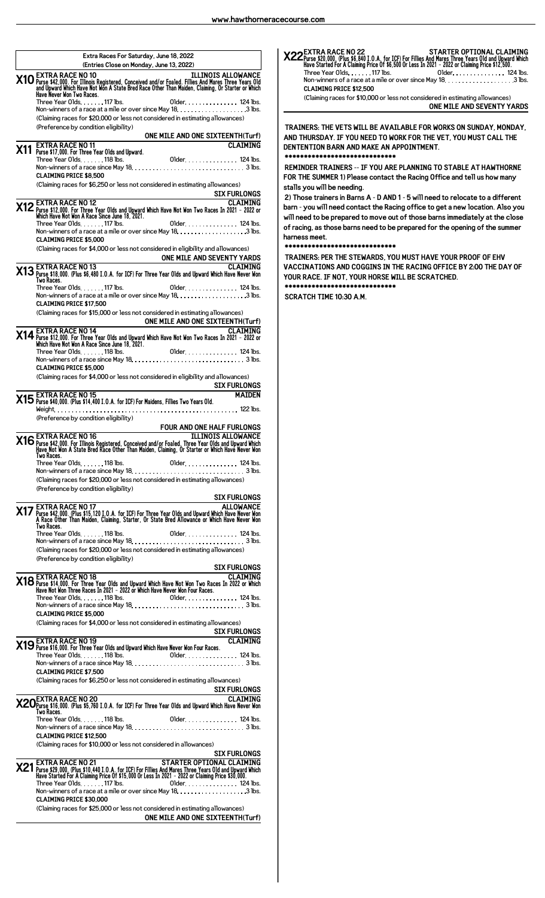| (Entries Close on Monday, June 13, 2022)<br><b>ILLINOIS ALLOWANCE</b><br><b>EXTRA RACE NO 10</b><br>X10 EATLY A KAULT IV TO THE REGISTER OF THE READ ON THE READ ON THE READ ON THE READ ON THE READ ON THE READ ON THE READ ON THE READ ON THE READ ON THE READ ON THE READ ON THE READ ON THE READ ON THE READ ON THE READ ON TH<br>Older. 124 lbs.<br>Three Year Olds. 117 lbs. |
|------------------------------------------------------------------------------------------------------------------------------------------------------------------------------------------------------------------------------------------------------------------------------------------------------------------------------------------------------------------------------------|
|                                                                                                                                                                                                                                                                                                                                                                                    |
| (Claiming races for \$20,000 or less not considered in estimating allowances)<br>(Preference by condition eligibility)<br>ONE MILE AND ONE SIXTEENTH(Turf)                                                                                                                                                                                                                         |
| <b>EXTRA RACE NO 11</b><br><b>CLAIMING</b>                                                                                                                                                                                                                                                                                                                                         |
| <b>CLAIMING PRICE \$8.500</b><br>(Claiming races for \$6,250 or less not considered in estimating allowances)<br>SIX FURLONGS                                                                                                                                                                                                                                                      |
| CLAIMING<br>2021 - 2022 or Three Year Olds and Upward Which Have Not Won Two Races In 2021<br>2022 Which Have Not Won A Race Since June 18, 2021.<br><br>01der 124 lbs.<br>Three Year Olds. 117 lbs.                                                                                                                                                                               |
| <b>CLAIMING PRICE \$5.000</b><br>(Claiming races for \$4,000 or less not considered in eligibility and allowances)                                                                                                                                                                                                                                                                 |
| ONE MILE AND SEVENTY YARDS<br>CLAIMING 2 EXTRA RACE NO 13<br>2013 Purse \$18,000. (Plus \$6,480 I.O.A. for ICF) For Three Year Olds and Upward Which Have Never Won<br>Two Races.                                                                                                                                                                                                  |
| Older  124 lbs.<br>Three Year Olds. 117 lbs.<br><b>CLAIMING PRICE \$17.500</b>                                                                                                                                                                                                                                                                                                     |
| (Claiming races for \$15,000 or less not considered in estimating allowances)<br><b>EXTRA RACE NO 14</b><br><b>ONE MILE AND ONE SIXTEENTH(Turf)</b><br><b>DIRECTED TO 14</b>                                                                                                                                                                                                       |
| <b>X14</b> Purse \$12,000. For Three Year Olds and Upward Which Have Not Won Two Races In 2021 - 2022 or<br>Which Have Not Won A Race Since June 18, 2021.<br>Three Year Olds. 118 lbs. 01                                                                                                                                                                                         |
| <b>CLAIMING PRICE \$5,000</b><br>(Claiming races for \$4,000 or less not considered in eligibility and allowances)<br><b>SIX FURLONGS</b>                                                                                                                                                                                                                                          |
| X15 EXTRA RACE NO 15<br>X15 Purse \$40,000. (Plus \$14,400 I.O.A. for ICF) For Maidens, Fillies Two Years Old.<br><b>MAIDEN</b>                                                                                                                                                                                                                                                    |
| (Preference by condition eligibility)<br>FOUR AND ONE HALF FURLONGS                                                                                                                                                                                                                                                                                                                |
| TLLINOIS ALLOWANCE NO 16<br>X16 Purse \$42,000. For Illinois Registered, Conceived and/or Foaled. Three Year Olds and Upward Mhich<br>Have_Not Won A State Bred Race Other Than Maiden, Claiming, Or Starter or Which Have Never Won<br>Two Races.                                                                                                                                 |
| (Claiming races for \$20,000 or less not considered in estimating allowances)<br>(Preference by condition eligibility)                                                                                                                                                                                                                                                             |
| <b>SIX FURLONGS</b><br>ALLOWANCE <b>X17</b> EXTRA RACE NO 17<br>Purse \$42,000. (Plus \$15,120 I.O.A. for ICF) For Three Year Olds and Upward Which Have Never Won A Race Other Than Maiden, Claiming, Starter, Or State Bred Allowance or Which Have Never Won                                                                                                                    |
| Two Races.<br>(Claiming races for \$20,000 or less not considered in estimating allowances)                                                                                                                                                                                                                                                                                        |
| (Preference by condition eligibility)<br><b>SIX FURLONGS</b>                                                                                                                                                                                                                                                                                                                       |
| CLAIMING<br>X18 Purse \$14,000. For Three Year Olds and Upward Which Have Not Won Two Races In 2022 or Which<br>Have Not Won Three Races In 2021 - 2022 or Which Have Never Won Four Races.                                                                                                                                                                                        |
| <b>CLAIMING PRICE \$5,000</b><br>(Claiming races for \$4,000 or less not considered in estimating allowances)                                                                                                                                                                                                                                                                      |
| <b>SIX FURLONGS</b><br>X19 EXTRA RACE NO 19<br>X19 Purse \$16,000. For Three Year Olds and Upward Which Have Never Won Four Races.<br><b>CLAIMING</b>                                                                                                                                                                                                                              |
| <b>CLAIMING PRICE \$7.500</b>                                                                                                                                                                                                                                                                                                                                                      |
| (Claiming races for \$6,250 or less not considered in estimating allowances)<br><u>SIX FURLONGS</u>                                                                                                                                                                                                                                                                                |
| CLAIMING<br>X20Purse \$16,000. (Plus \$5,760 I.O.A. for ICF) For Three Year Olds and Upward Which Have Never Won<br>Two Races.                                                                                                                                                                                                                                                     |
| <b>CLAIMING PRICE \$12.500</b><br>(Claiming races for \$10,000 or less not considered in allowances)                                                                                                                                                                                                                                                                               |
| <b>SIX FURLONGS</b><br>EXTRA RACE NO 21<br>STARTER OPTIONAL CLAIMING                                                                                                                                                                                                                                                                                                               |
| X21 Purse \$29,000. (Plus \$10,440 I.O.A. for ICF) For Fillies And Mares Three Years Old and Upward Which<br>Have Started For A Claiming Price Of \$15,000 Or Less In 2021 - 2022 or Claiming Price \$30,000.<br>Three Year Olds. 117 lbs. 01der. 124 lbs.                                                                                                                         |
|                                                                                                                                                                                                                                                                                                                                                                                    |

## STARTER OPTIONAL CLAIMING<br>Purse \$20,000. (Plus \$6,840 I.O.A. for ICF) For Fillies And Mares Three Years Old and Upward Which<br>Have Started For A Claiming Price Of \$6,500 Or Less In 2021 – 2022 or Claiming Price \$12,500.

Three Year Olds 117 lbs. Older 124 lbs. Non-winners of a race at a mile or over since May 18.  $\dots\dots\dots\dots\dots\dots$  . 3 lbs. **CLAIMING PRICE \$12,500**

(Claiming races for \$10,000 or less not considered in estimating allowances) **ONE MILE AND SEVENTY YARDS**

**TRAINERS: THE VETS WILL BE AVAILABLE FOR WORKS ON SUNDAY, MONDAY, AND THURSDAY. IF YOU NEED TO WORK FOR THE VET, YOU MUST CALL THE DENTENTION BARN AND MAKE AN APPOINTMENT. \*\*\*\*\*\*\*\*\*\*\*\*\*\*\*\*\*\*\*\*\*\*\*\*\*\*\*\*\***

**REMINDER TRAINERS -- IF YOU ARE PLANNING TO STABLE AT HAWTHORNE FOR THE SUMMER 1) Please contact the Racing Office and tell us how many stalls you will be needing.**

**2) Those trainers in Barns A - D AND 1 - 5 will need to relocate to a different barn - you will need contact the Racing office to get a new location. Also you will need to be prepared to move out of those barns immediately at the close of racing, as those barns need to be prepared for the opening of the summer harness meet.**

## **\*\*\*\*\*\*\*\*\*\*\*\*\*\*\*\*\*\*\*\*\*\*\*\*\*\*\*\*\***

**TRAINERS: PER THE STEWARDS, YOU MUST HAVE YOUR PROOF OF EHV VACCINATIONS AND COGGINS IN THE RACING OFFICE BY 2:00 THE DAY OF YOUR RACE. IF NOT, YOUR HORSE WILL BE SCRATCHED. \*\*\*\*\*\*\*\*\*\*\*\*\*\*\*\*\*\*\*\*\*\*\*\*\*\*\*\*\***

**SCRATCH TIME 10:30 A.M.**